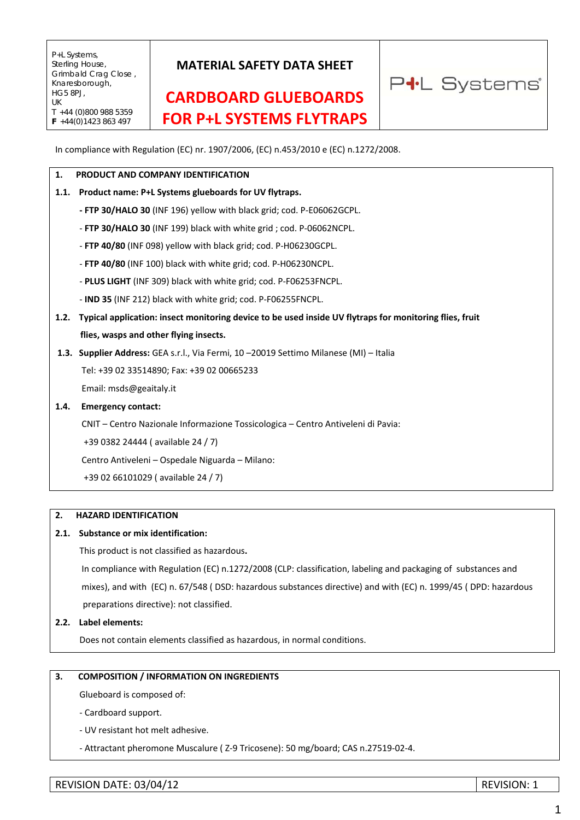## **MATERIAL SAFETY DATA SHEET**

# **CARDBOARD GLUEBOARDS FOR P+L SYSTEMS FLYTRAPS**



In compliance with Regulation (EC) nr. 1907/2006, (EC) n.453/2010 e (EC) n.1272/2008.

#### **1. PRODUCT AND COMPANY IDENTIFICATION**

### **1.1. Product name: P+L Systems glueboards for UV flytraps.**

- **‐ FTP 30/HALO 30** (INF 196) yellow with black grid; cod. P‐E06062GCPL.
- ‐ **FTP 30/HALO 30** (INF 199) black with white grid ; cod. P‐06062NCPL.
- ‐ **FTP 40/80** (INF 098) yellow with black grid; cod. P‐H06230GCPL.
- ‐ **FTP 40/80** (INF 100) black with white grid; cod. P‐H06230NCPL.
- ‐ **PLUS LIGHT** (INF 309) black with white grid; cod. P‐F06253FNCPL.
- ‐ **IND 35** (INF 212) black with white grid; cod. P‐F06255FNCPL.
- 1.2. Typical application: insect monitoring device to be used inside UV flytraps for monitoring flies, fruit **flies, wasps and other flying insects.**
- **1.3. Supplier Address:** GEA s.r.l., Via Fermi, 10 –20019 Settimo Milanese (MI) Italia

Tel: +39 02 33514890; Fax: +39 02 00665233

Email: msds@geaitaly.it

#### **1.4. Emergency contact:**

CNIT – Centro Nazionale Informazione Tossicologica – Centro Antiveleni di Pavia:

+39 0382 24444 ( available 24 / 7)

Centro Antiveleni – Ospedale Niguarda – Milano:

+39 02 66101029 ( available 24 / 7)

#### **2. HAZARD IDENTIFICATION**

#### **2.1. Substance or mix identification:**

This product is not classified as hazardous**.**

 In compliance with Regulation (EC) n.1272/2008 (CLP: classification, labeling and packaging of substances and mixes), and with (EC) n. 67/548 ( DSD: hazardous substances directive) and with (EC) n. 1999/45 ( DPD: hazardous preparations directive): not classified.

**2.2. Label elements:** 

Does not contain elements classified as hazardous, in normal conditions.

### **3. COMPOSITION / INFORMATION ON INGREDIENTS**

Glueboard is composed of:

‐ Cardboard support.

‐ UV resistant hot melt adhesive.

‐ Attractant pheromone Muscalure ( Z‐9 Tricosene): 50 mg/board; CAS n.27519‐02‐4.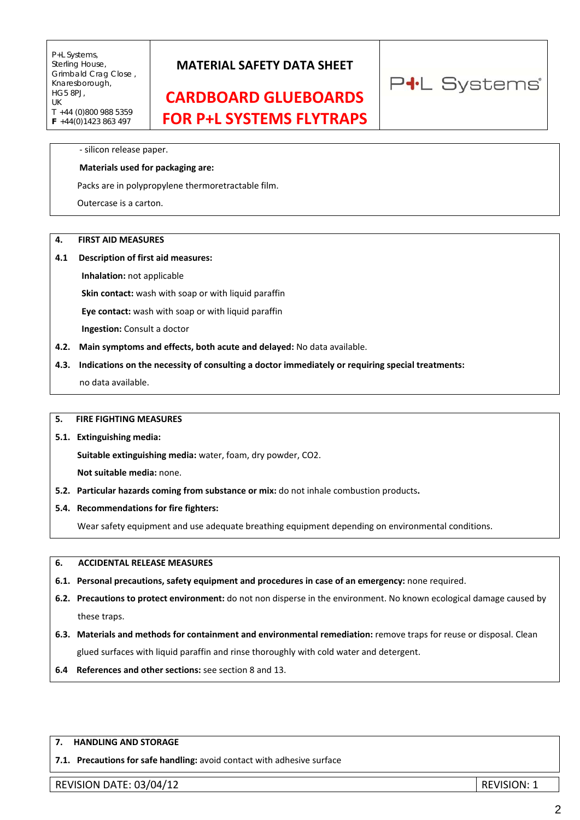## **MATERIAL SAFETY DATA SHEET**

## **CARDBOARD GLUEBOARDS FOR P+L SYSTEMS FLYTRAPS**

‐ silicon release paper.

#### **Materials used for packaging are:**

Packs are in polypropylene thermoretractable film.

Outercase is a carton.

#### **4. FIRST AID MEASURES**

#### **4.1 Description of first aid measures:**

 **Inhalation:** not applicable

 **Skin contact:** wash with soap or with liquid paraffin

 **Eye contact:** wash with soap or with liquid paraffin

 **Ingestion:** Consult a doctor

- **4.2. Main symptoms and effects, both acute and delayed:** No data available.
- **4.3. Indications on the necessity of consulting a doctor immediately or requiring special treatments:** no data available.

#### **5. FIRE FIGHTING MEASURES**

**5.1. Extinguishing media:**

 **Suitable extinguishing media:** water, foam, dry powder, CO2.

 **Not suitable media:** none.

- **5.2. Particular hazards coming from substance or mix:** do not inhale combustion products**.**
- **5.4. Recommendations for fire fighters:**

Wear safety equipment and use adequate breathing equipment depending on environmental conditions.

#### **6. ACCIDENTAL RELEASE MEASURES**

- **6.1. Personal precautions, safety equipment and procedures in case of an emergency:** none required.
- **6.2. Precautions to protect environment:** do not non disperse in the environment. No known ecological damage caused by these traps.
- **6.3. Materials and methods for containment and environmental remediation:** remove traps for reuse or disposal. Clean glued surfaces with liquid paraffin and rinse thoroughly with cold water and detergent.
- **6.4 References and other sections:** see section 8 and 13.

#### **7. HANDLING AND STORAGE**

**7.1. Precautions for safe handling:** avoid contact with adhesive surface

REVISION DATE: 03/04/12 REVISION: 1

P<sup>+</sup>L Systems®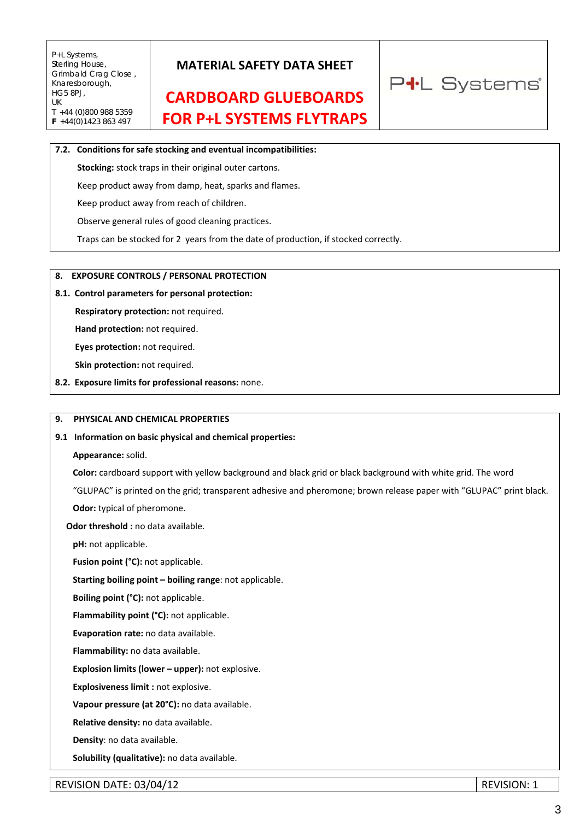## **MATERIAL SAFETY DATA SHEET**

# **CARDBOARD GLUEBOARDS FOR P+L SYSTEMS FLYTRAPS**



#### **7.2. Conditions for safe stocking and eventual incompatibilities:**

 **Stocking:** stock traps in their original outer cartons.

Keep product away from damp, heat, sparks and flames.

Keep product away from reach of children.

Observe general rules of good cleaning practices.

Traps can be stocked for 2 years from the date of production, if stocked correctly.

#### **8. EXPOSURE CONTROLS / PERSONAL PROTECTION**

#### **8.1. Control parameters for personal protection:**

 **Respiratory protection:** not required.

 **Hand protection:** not required.

 **Eyes protection:** not required.

 **Skin protection:** not required.

**8.2. Exposure limits for professional reasons:** none.

#### **9. PHYSICAL AND CHEMICAL PROPERTIES**

#### **9.1 Information on basic physical and chemical properties:**

 **Appearance:** solid.

 **Color:** cardboard support with yellow background and black grid or black background with white grid. The word

"GLUPAC" is printed on the grid; transparent adhesive and pheromone; brown release paper with "GLUPAC" print black.

 **Odor:** typical of pheromone.

#### **Odor threshold :** no data available.

**pH:** not applicable.

 **Fusion point (°C):** not applicable.

**Starting boiling point – boiling range**: not applicable.

 **Boiling point (°C):** not applicable.

**Flammability point (°C):** not applicable.

 **Evaporation rate:** no data available.

 **Flammability:** no data available.

**Explosion limits (lower – upper):** not explosive.

 **Explosiveness limit :** not explosive.

 **Vapour pressure (at 20°C):** no data available.

 **Relative density:** no data available.

 **Density**: no data available.

 **Solubility (qualitative):** no data available.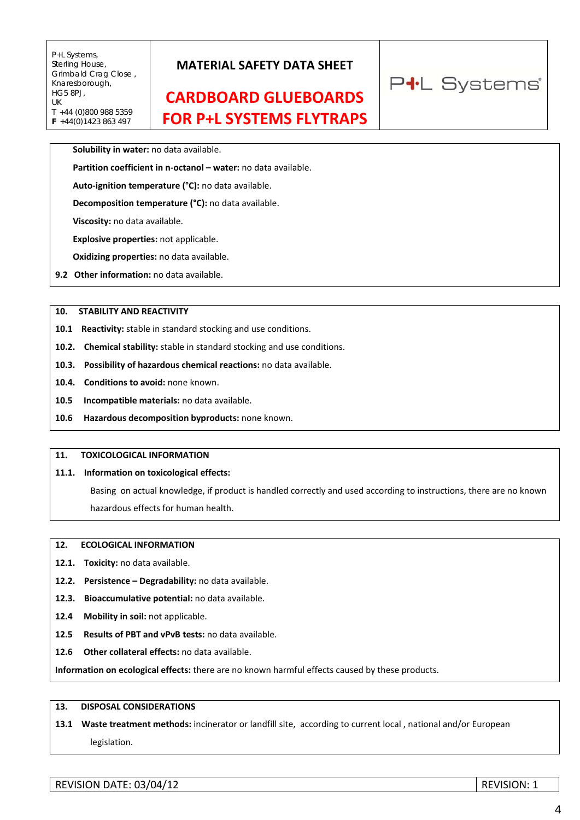## **MATERIAL SAFETY DATA SHEET**

# **CARDBOARD GLUEBOARDS FOR P+L SYSTEMS FLYTRAPS**

P<sup>+</sup>L Systems®

#### **Solubility in water:** no data available.

**Partition coefficient in n‐octanol – water:** no data available.

**Auto‐ignition temperature (°C):** no data available.

 **Decomposition temperature (°C):** no data available.

 **Viscosity:** no data available.

 **Explosive properties:** not applicable.

 **Oxidizing properties:** no data available.

**9.2 Other information:** no data available.

#### **10. STABILITY AND REACTIVITY**

10.1 Reactivity: stable in standard stocking and use conditions.

**10.2. Chemical stability:** stable in standard stocking and use conditions.

**10.3. Possibility of hazardous chemical reactions:** no data available.

**10.4. Conditions to avoid:** none known.

**10.5 Incompatible materials:** no data available.

**10.6 Hazardous decomposition byproducts:** none known.

### **11. TOXICOLOGICAL INFORMATION**

#### **11.1. Information on toxicological effects:**

Basing on actual knowledge, if product is handled correctly and used according to instructions, there are no known hazardous effects for human health.

#### **12. ECOLOGICAL INFORMATION**

- 12.1. Toxicity: no data available.
- **12.2. Persistence – Degradability:** no data available.
- **12.3. Bioaccumulative potential:** no data available.
- **12.4 Mobility in soil:** not applicable.
- **12.5 Results of PBT and vPvB tests:** no data available.
- **12.6 Other collateral effects:** no data available.

**Information on ecological effects:** there are no known harmful effects caused by these products.

### **13. DISPOSAL CONSIDERATIONS**

### **13.1 Waste treatment methods:** incinerator or landfill site, according to current local , national and/or European legislation.

REVISION DATE: 03/04/12 REVISION: 1